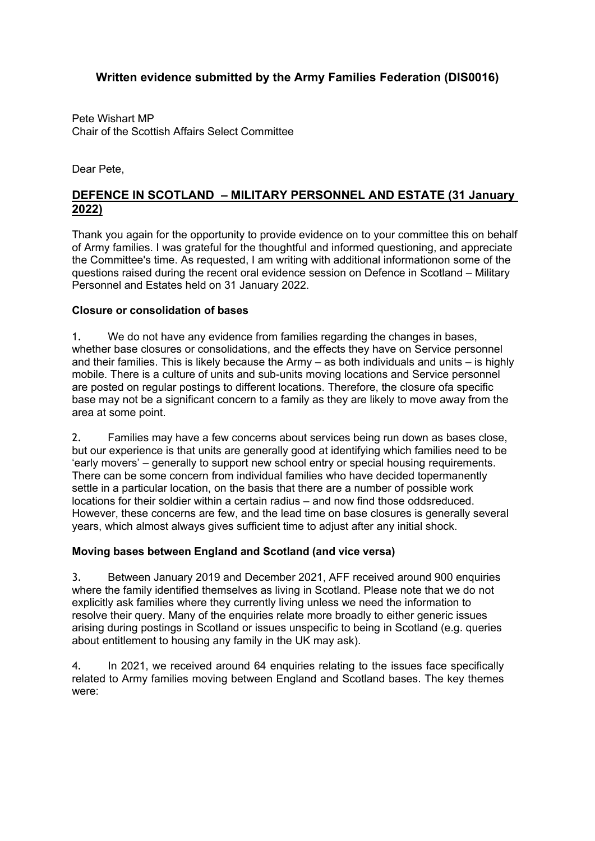# **Written evidence submitted by the Army Families Federation (DIS0016)**

Pete Wishart MP Chair of the Scottish Affairs Select Committee

Dear Pete,

## **DEFENCE IN SCOTLAND – MILITARY PERSONNEL AND ESTATE (31 January 2022)**

Thank you again for the opportunity to provide evidence on to your committee this on behalf of Army families. I was grateful for the thoughtful and informed questioning, and appreciate the Committee's time. As requested, I am writing with additional informationon some of the questions raised during the recent oral evidence session on Defence in Scotland – Military Personnel and Estates held on 31 January 2022.

### **Closure or consolidation of bases**

1. We do not have any evidence from families regarding the changes in bases, whether base closures or consolidations, and the effects they have on Service personnel and their families. This is likely because the Army – as both individuals and units – is highly mobile. There is a culture of units and sub-units moving locations and Service personnel are posted on regular postings to different locations. Therefore, the closure ofa specific base may not be a significant concern to a family as they are likely to move away from the area at some point.

2. Families may have a few concerns about services being run down as bases close, but our experience is that units are generally good at identifying which families need to be 'early movers' – generally to support new school entry or special housing requirements. There can be some concern from individual families who have decided topermanently settle in a particular location, on the basis that there are a number of possible work locations for their soldier within a certain radius – and now find those oddsreduced. However, these concerns are few, and the lead time on base closures is generally several years, which almost always gives sufficient time to adjust after any initial shock.

### **Moving bases between England and Scotland (and vice versa)**

3. Between January 2019 and December 2021, AFF received around 900 enquiries where the family identified themselves as living in Scotland. Please note that we do not explicitly ask families where they currently living unless we need the information to resolve their query. Many of the enquiries relate more broadly to either generic issues arising during postings in Scotland or issues unspecific to being in Scotland (e.g. queries about entitlement to housing any family in the UK may ask).

4. In 2021, we received around 64 enquiries relating to the issues face specifically related to Army families moving between England and Scotland bases. The key themes were: